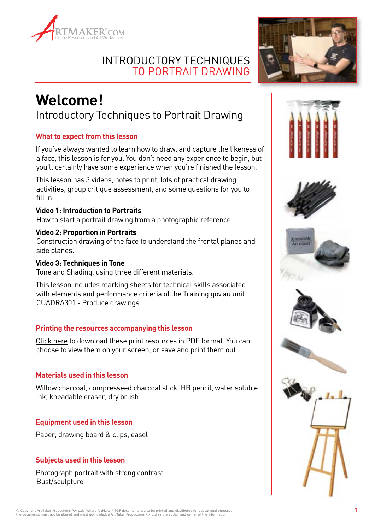



# **Welcome!** Introductory Techniques to Portrait Drawing

### **What to expect from this lesson**

If you've always wanted to learn how to draw, and capture the likeness of a face, this lesson is for you. You don't need any experience to begin, but you'll certainly have some experience when you're finished the lesson.

This lesson has 3 videos, notes to print, lots of practical drawing activities, group critique assessment, and some questions for you to fill in.

#### **Video 1: Introduction to Portraits**

How to start a portrait drawing from a photographic reference.

#### **Video 2: Proportion in Portraits**

Construction drawing of the face to understand the frontal planes and side planes.

#### **Video 3: Techniques in Tone**

Tone and Shading, using three different materials.

This lesson includes marking sheets for technical skills associated with elements and performance criteria of the Training.gov.au unit CUADRA301 - Produce drawings.

#### **Printing the resources accompanying this lesson**

Click here to download these print resources in PDF format. You can choose to view them on your screen, or save and print them out.

#### **Materials used in this lesson**

Willow charcoal, compresseed charcoal stick, HB pencil, water soluble ink, kneadable eraser, dry brush.

#### **Equipment used in this lesson**

Paper, drawing board & clips, easel

### **Subjects used in this lesson**

Photograph portrait with strong contrast Bust/sculpture











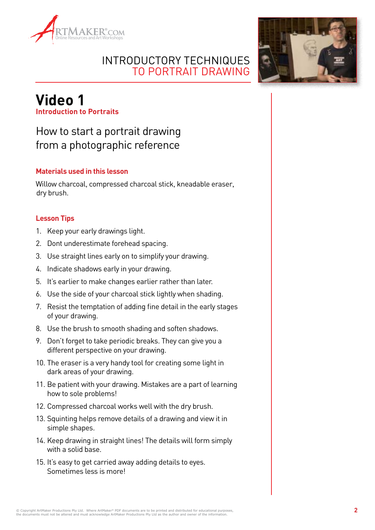



## **Video 1 Introduction to Portraits**

# How to start a portrait drawing from a photographic reference

### **Materials used in this lesson**

Willow charcoal, compressed charcoal stick, kneadable eraser, dry brush.

### **Lesson Tips**

- 1. Keep your early drawings light.
- 2. Dont underestimate forehead spacing.
- 3. Use straight lines early on to simplify your drawing.
- 4. Indicate shadows early in your drawing.
- 5. It's earlier to make changes earlier rather than later.
- 6. Use the side of your charcoal stick lightly when shading.
- 7. Resist the temptation of adding fine detail in the early stages of your drawing.
- 8. Use the brush to smooth shading and soften shadows.
- 9. Don't forget to take periodic breaks. They can give you a different perspective on your drawing.
- 10. The eraser is a very handy tool for creating some light in dark areas of your drawing.
- 11. Be patient with your drawing. Mistakes are a part of learning how to sole problems!
- 12. Compressed charcoal works well with the dry brush.
- 13. Squinting helps remove details of a drawing and view it in simple shapes.
- 14. Keep drawing in straight lines! The details will form simply with a solid base.
- 15. It's easy to get carried away adding details to eyes. Sometimes less is more!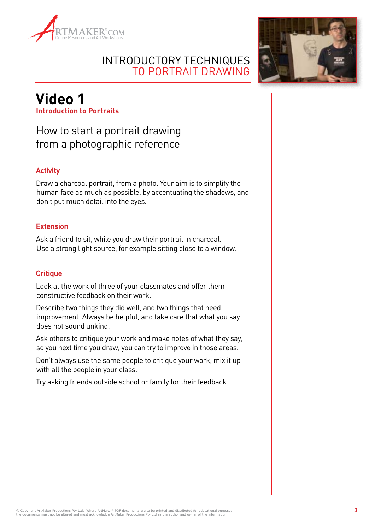



# **Video 1 Introduction to Portraits**

# How to start a portrait drawing from a photographic reference

### **Activity**

Draw a charcoal portrait, from a photo. Your aim is to simplify the human face as much as possible, by accentuating the shadows, and don't put much detail into the eyes.

### **Extension**

Ask a friend to sit, while you draw their portrait in charcoal. Use a strong light source, for example sitting close to a window.

#### **Critique**

Look at the work of three of your classmates and offer them constructive feedback on their work.

Describe two things they did well, and two things that need improvement. Always be helpful, and take care that what you say does not sound unkind.

Ask others to critique your work and make notes of what they say, so you next time you draw, you can try to improve in those areas.

Don't always use the same people to critique your work, mix it up with all the people in your class.

Try asking friends outside school or family for their feedback.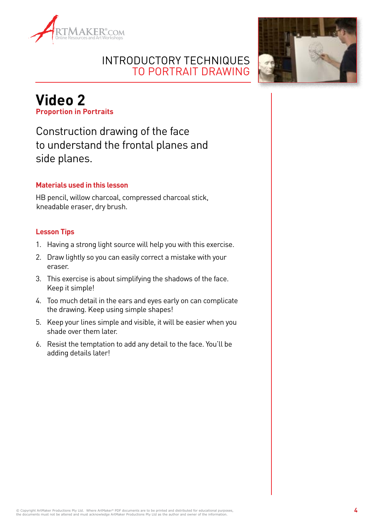



# **Video 2 Proportion in Portraits**

Construction drawing of the face to understand the frontal planes and side planes.

### **Materials used in this lesson**

HB pencil, willow charcoal, compressed charcoal stick, kneadable eraser, dry brush.

#### **Lesson Tips**

- 1. Having a strong light source will help you with this exercise.
- 2. Draw lightly so you can easily correct a mistake with your eraser.
- 3. This exercise is about simplifying the shadows of the face. Keep it simple!
- 4. Too much detail in the ears and eyes early on can complicate the drawing. Keep using simple shapes!
- 5. Keep your lines simple and visible, it will be easier when you shade over them later.
- 6. Resist the temptation to add any detail to the face. You'll be adding details later!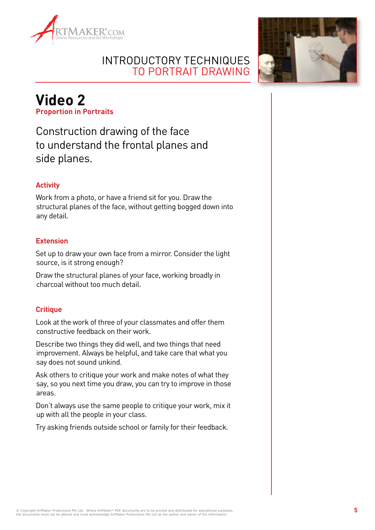



# **Video 2 Proportion in Portraits**

Construction drawing of the face to understand the frontal planes and side planes.

### **Activity**

Work from a photo, or have a friend sit for you. Draw the structural planes of the face, without getting bogged down into any detail.

#### **Extension**

Set up to draw your own face from a mirror. Consider the light source, is it strong enough?

Draw the structural planes of your face, working broadly in charcoal without too much detail.

### **Critique**

Look at the work of three of your classmates and offer them constructive feedback on their work.

Describe two things they did well, and two things that need improvement. Always be helpful, and take care that what you say does not sound unkind.

Ask others to critique your work and make notes of what they say, so you next time you draw, you can try to improve in those areas.

Don't always use the same people to critique your work, mix it up with all the people in your class.

Try asking friends outside school or family for their feedback.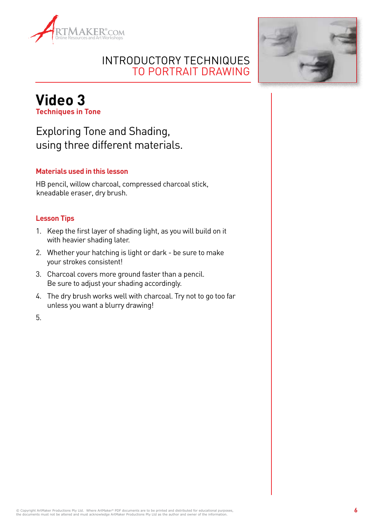



### **Video 3 Techniques in Tone**

Exploring Tone and Shading, using three different materials.

### **Materials used in this lesson**

HB pencil, willow charcoal, compressed charcoal stick, kneadable eraser, dry brush.

#### **Lesson Tips**

- 1. Keep the first layer of shading light, as you will build on it with heavier shading later.
- 2. Whether your hatching is light or dark be sure to make your strokes consistent!
- 3. Charcoal covers more ground faster than a pencil. Be sure to adjust your shading accordingly.
- 4. The dry brush works well with charcoal. Try not to go too far unless you want a blurry drawing!

5.